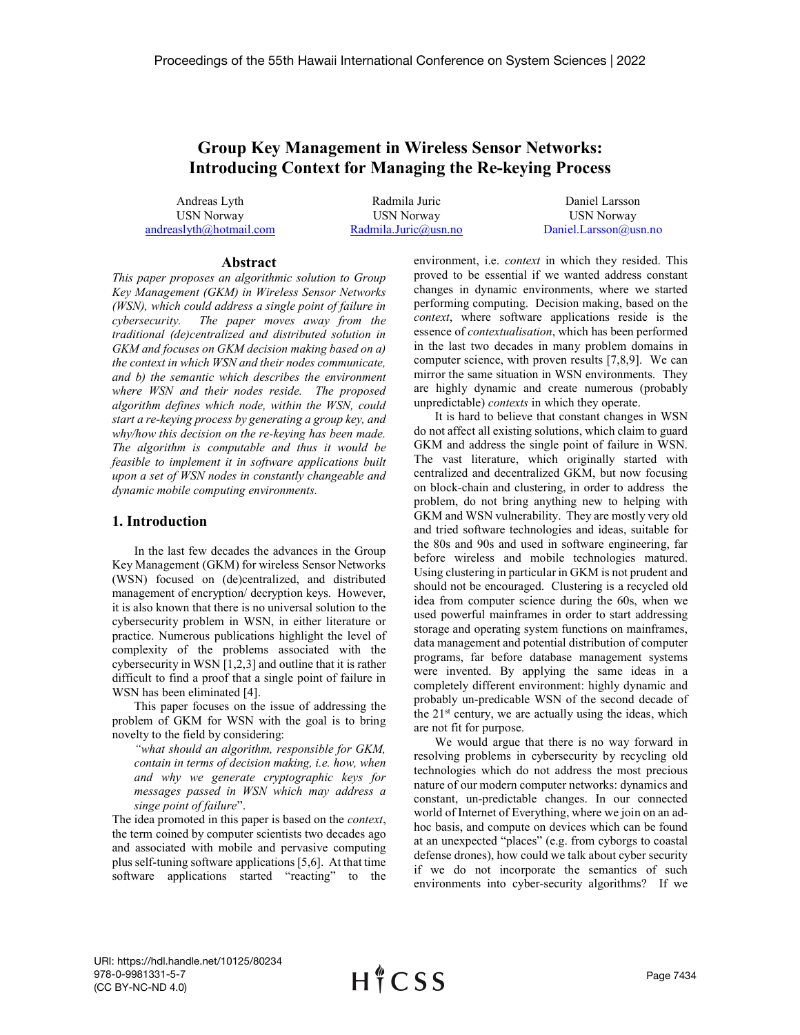# Group Key Management in Wireless Sensor Networks: Introducing Context for Managing the Re-keying Process

Andreas Lyth USN Norway andreaslyth@hotmail.com

Radmila Juric USN Norway Radmila.Juric@usn.no

Daniel Larsson USN Norway Daniel.Larsson@usn.no

#### Abstract

This paper proposes an algorithmic solution to Group Key Management (GKM) in Wireless Sensor Networks (WSN), which could address a single point of failure in cybersecurity. The paper moves away from the traditional (de)centralized and distributed solution in GKM and focuses on GKM decision making based on a) the context in which WSN and their nodes communicate, and b) the semantic which describes the environment where WSN and their nodes reside. The proposed algorithm defines which node, within the WSN, could start a re-keying process by generating a group key, and why/how this decision on the re-keying has been made. The algorithm is computable and thus it would be feasible to implement it in software applications built upon a set of WSN nodes in constantly changeable and dynamic mobile computing environments.

# 1. Introduction

In the last few decades the advances in the Group Key Management (GKM) for wireless Sensor Networks (WSN) focused on (de)centralized, and distributed management of encryption/ decryption keys. However, it is also known that there is no universal solution to the cybersecurity problem in WSN, in either literature or practice. Numerous publications highlight the level of complexity of the problems associated with the cybersecurity in WSN [1,2,3] and outline that it is rather difficult to find a proof that a single point of failure in WSN has been eliminated [4].

This paper focuses on the issue of addressing the problem of GKM for WSN with the goal is to bring novelty to the field by considering:

"what should an algorithm, responsible for GKM, contain in terms of decision making, i.e. how, when and why we generate cryptographic keys for messages passed in WSN which may address a singe point of failure".

The idea promoted in this paper is based on the *context*, the term coined by computer scientists two decades ago and associated with mobile and pervasive computing plus self-tuning software applications [5,6]. At that time software applications started "reacting" to the environment, i.e. *context* in which they resided. This proved to be essential if we wanted address constant changes in dynamic environments, where we started performing computing. Decision making, based on the context, where software applications reside is the essence of contextualisation, which has been performed in the last two decades in many problem domains in computer science, with proven results [7,8,9]. We can mirror the same situation in WSN environments. They are highly dynamic and create numerous (probably unpredictable) contexts in which they operate.

It is hard to believe that constant changes in WSN do not affect all existing solutions, which claim to guard GKM and address the single point of failure in WSN. The vast literature, which originally started with centralized and decentralized GKM, but now focusing on block-chain and clustering, in order to address the problem, do not bring anything new to helping with GKM and WSN vulnerability. They are mostly very old and tried software technologies and ideas, suitable for the 80s and 90s and used in software engineering, far before wireless and mobile technologies matured. Using clustering in particular in GKM is not prudent and should not be encouraged. Clustering is a recycled old idea from computer science during the 60s, when we used powerful mainframes in order to start addressing storage and operating system functions on mainframes, data management and potential distribution of computer programs, far before database management systems were invented. By applying the same ideas in a completely different environment: highly dynamic and probably un-predicable WSN of the second decade of the  $21<sup>st</sup>$  century, we are actually using the ideas, which are not fit for purpose.

We would argue that there is no way forward in resolving problems in cybersecurity by recycling old technologies which do not address the most precious nature of our modern computer networks: dynamics and constant, un-predictable changes. In our connected world of Internet of Everything, where we join on an adhoc basis, and compute on devices which can be found at an unexpected "places" (e.g. from cyborgs to coastal defense drones), how could we talk about cyber security if we do not incorporate the semantics of such environments into cyber-security algorithms? If we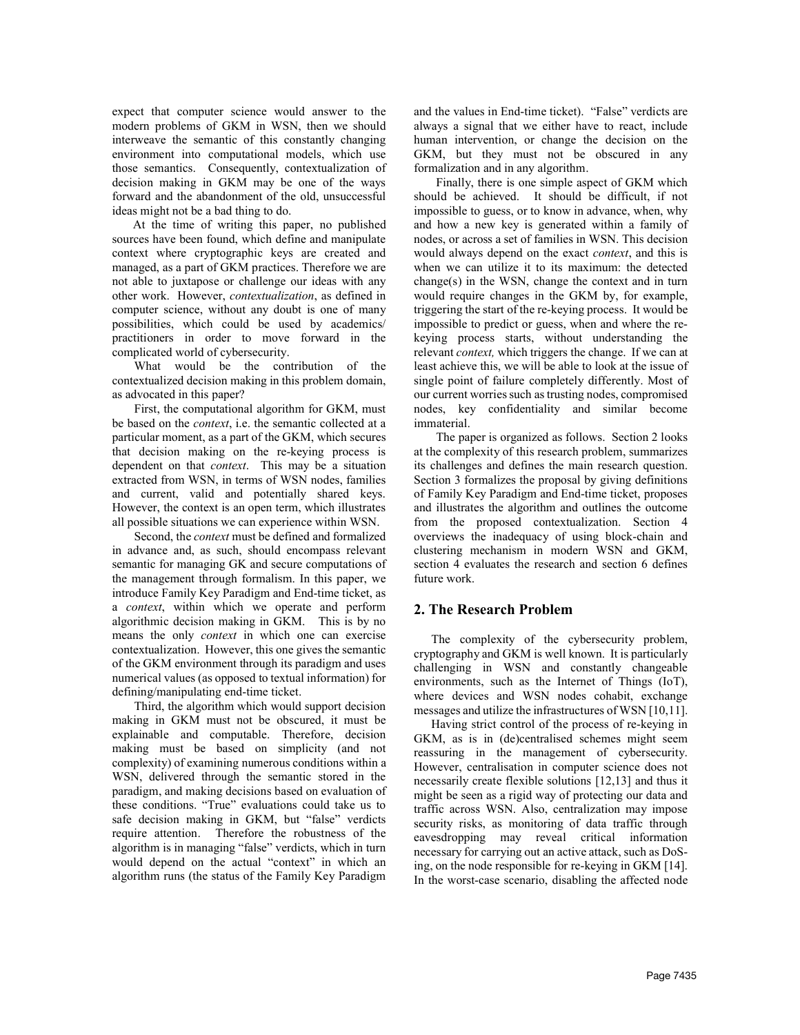expect that computer science would answer to the modern problems of GKM in WSN, then we should interweave the semantic of this constantly changing environment into computational models, which use those semantics. Consequently, contextualization of decision making in GKM may be one of the ways forward and the abandonment of the old, unsuccessful ideas might not be a bad thing to do.

At the time of writing this paper, no published sources have been found, which define and manipulate context where cryptographic keys are created and managed, as a part of GKM practices. Therefore we are not able to juxtapose or challenge our ideas with any other work. However, contextualization, as defined in computer science, without any doubt is one of many possibilities, which could be used by academics/ practitioners in order to move forward in the complicated world of cybersecurity.

What would be the contribution of the contextualized decision making in this problem domain, as advocated in this paper?

First, the computational algorithm for GKM, must be based on the *context*, i.e. the semantic collected at a particular moment, as a part of the GKM, which secures that decision making on the re-keying process is dependent on that context. This may be a situation extracted from WSN, in terms of WSN nodes, families and current, valid and potentially shared keys. However, the context is an open term, which illustrates all possible situations we can experience within WSN.

Second, the context must be defined and formalized in advance and, as such, should encompass relevant semantic for managing GK and secure computations of the management through formalism. In this paper, we introduce Family Key Paradigm and End-time ticket, as a context, within which we operate and perform algorithmic decision making in GKM. This is by no means the only context in which one can exercise contextualization. However, this one gives the semantic of the GKM environment through its paradigm and uses numerical values (as opposed to textual information) for defining/manipulating end-time ticket.

Third, the algorithm which would support decision making in GKM must not be obscured, it must be explainable and computable. Therefore, decision making must be based on simplicity (and not complexity) of examining numerous conditions within a WSN, delivered through the semantic stored in the paradigm, and making decisions based on evaluation of these conditions. "True" evaluations could take us to safe decision making in GKM, but "false" verdicts require attention. Therefore the robustness of the algorithm is in managing "false" verdicts, which in turn would depend on the actual "context" in which an algorithm runs (the status of the Family Key Paradigm

and the values in End-time ticket). "False" verdicts are always a signal that we either have to react, include human intervention, or change the decision on the GKM, but they must not be obscured in any formalization and in any algorithm.

Finally, there is one simple aspect of GKM which should be achieved. It should be difficult, if not impossible to guess, or to know in advance, when, why and how a new key is generated within a family of nodes, or across a set of families in WSN. This decision would always depend on the exact context, and this is when we can utilize it to its maximum: the detected change(s) in the WSN, change the context and in turn would require changes in the GKM by, for example, triggering the start of the re-keying process. It would be impossible to predict or guess, when and where the rekeying process starts, without understanding the relevant context, which triggers the change. If we can at least achieve this, we will be able to look at the issue of single point of failure completely differently. Most of our current worries such as trusting nodes, compromised nodes, key confidentiality and similar become immaterial.

The paper is organized as follows. Section 2 looks at the complexity of this research problem, summarizes its challenges and defines the main research question. Section 3 formalizes the proposal by giving definitions of Family Key Paradigm and End-time ticket, proposes and illustrates the algorithm and outlines the outcome from the proposed contextualization. Section 4 overviews the inadequacy of using block-chain and clustering mechanism in modern WSN and GKM, section 4 evaluates the research and section 6 defines future work.

# 2. The Research Problem

The complexity of the cybersecurity problem, cryptography and GKM is well known. It is particularly challenging in WSN and constantly changeable environments, such as the Internet of Things (IoT), where devices and WSN nodes cohabit, exchange messages and utilize the infrastructures of WSN [10,11].

Having strict control of the process of re-keying in GKM, as is in (de)centralised schemes might seem reassuring in the management of cybersecurity. However, centralisation in computer science does not necessarily create flexible solutions [12,13] and thus it might be seen as a rigid way of protecting our data and traffic across WSN. Also, centralization may impose security risks, as monitoring of data traffic through eavesdropping may reveal critical information necessary for carrying out an active attack, such as DoSing, on the node responsible for re-keying in GKM [14]. In the worst-case scenario, disabling the affected node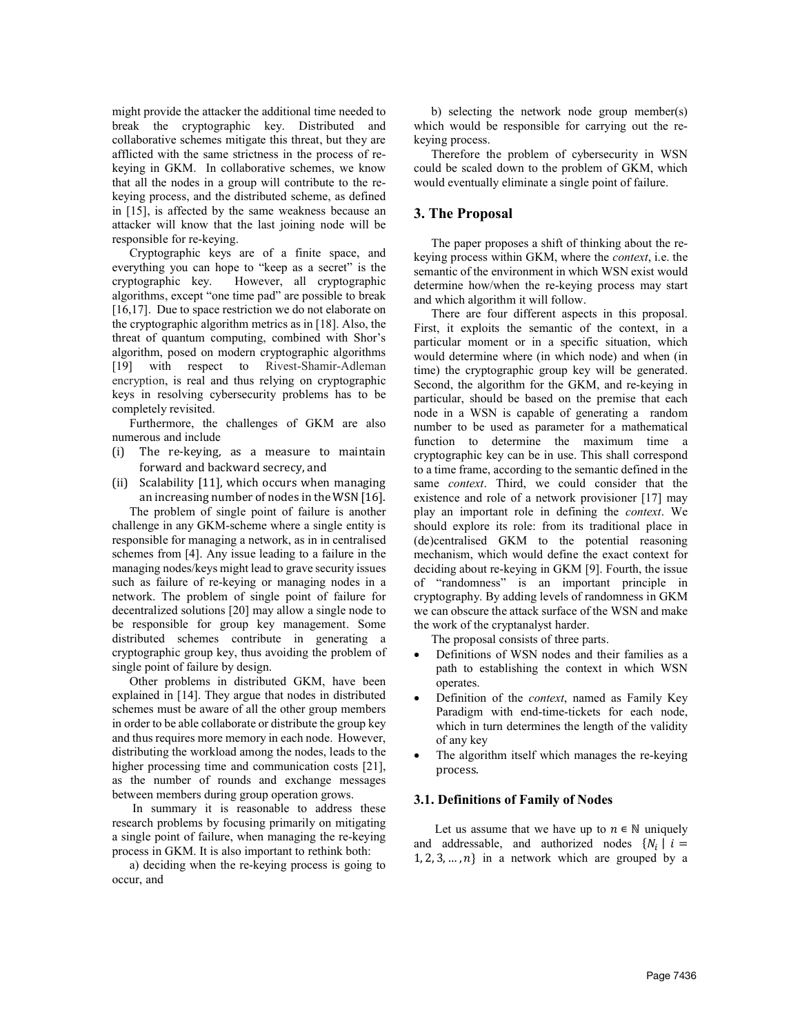might provide the attacker the additional time needed to break the cryptographic key. Distributed and collaborative schemes mitigate this threat, but they are afflicted with the same strictness in the process of rekeying in GKM. In collaborative schemes, we know that all the nodes in a group will contribute to the rekeying process, and the distributed scheme, as defined in [15], is affected by the same weakness because an attacker will know that the last joining node will be responsible for re-keying.

Cryptographic keys are of a finite space, and everything you can hope to "keep as a secret" is the cryptographic key. However, all cryptographic algorithms, except "one time pad" are possible to break [16,17]. Due to space restriction we do not elaborate on the cryptographic algorithm metrics as in [18]. Also, the threat of quantum computing, combined with Shor's algorithm, posed on modern cryptographic algorithms [19] with respect to Rivest-Shamir-Adleman encryption, is real and thus relying on cryptographic keys in resolving cybersecurity problems has to be completely revisited.

Furthermore, the challenges of GKM are also numerous and include

- (i) The re-keying, as a measure to maintain forward and backward secrecy, and
- (ii) Scalability [11], which occurs when managing an increasing number of nodes in the WSN [16].

The problem of single point of failure is another challenge in any GKM-scheme where a single entity is responsible for managing a network, as in in centralised schemes from [4]. Any issue leading to a failure in the managing nodes/keys might lead to grave security issues such as failure of re-keying or managing nodes in a network. The problem of single point of failure for decentralized solutions [20] may allow a single node to be responsible for group key management. Some distributed schemes contribute in generating a cryptographic group key, thus avoiding the problem of single point of failure by design.

Other problems in distributed GKM, have been explained in [14]. They argue that nodes in distributed schemes must be aware of all the other group members in order to be able collaborate or distribute the group key and thus requires more memory in each node. However, distributing the workload among the nodes, leads to the higher processing time and communication costs [21]. as the number of rounds and exchange messages between members during group operation grows.

In summary it is reasonable to address these research problems by focusing primarily on mitigating a single point of failure, when managing the re-keying process in GKM. It is also important to rethink both:

a) deciding when the re-keying process is going to occur, and

b) selecting the network node group member(s) which would be responsible for carrying out the rekeying process.

Therefore the problem of cybersecurity in WSN could be scaled down to the problem of GKM, which would eventually eliminate a single point of failure.

# 3. The Proposal

The paper proposes a shift of thinking about the rekeying process within GKM, where the context, i.e. the semantic of the environment in which WSN exist would determine how/when the re-keying process may start and which algorithm it will follow.

There are four different aspects in this proposal. First, it exploits the semantic of the context, in a particular moment or in a specific situation, which would determine where (in which node) and when (in time) the cryptographic group key will be generated. Second, the algorithm for the GKM, and re-keying in particular, should be based on the premise that each node in a WSN is capable of generating a random number to be used as parameter for a mathematical function to determine the maximum time a cryptographic key can be in use. This shall correspond to a time frame, according to the semantic defined in the same context. Third, we could consider that the existence and role of a network provisioner [17] may play an important role in defining the context. We should explore its role: from its traditional place in (de)centralised GKM to the potential reasoning mechanism, which would define the exact context for deciding about re-keying in GKM [9]. Fourth, the issue "randomness" is an important principle in cryptography. By adding levels of randomness in GKM we can obscure the attack surface of the WSN and make the work of the cryptanalyst harder.

The proposal consists of three parts.

- Definitions of WSN nodes and their families as a path to establishing the context in which WSN operates.
- Definition of the *context*, named as Family Key Paradigm with end-time-tickets for each node, which in turn determines the length of the validity of any key
- The algorithm itself which manages the re-keying process.

## 3.1. Definitions of Family of Nodes

Let us assume that we have up to  $n \in \mathbb{N}$  uniquely and addressable, and authorized nodes  $\{N_i | i =$  $1, 2, 3, \ldots, n$ } in a network which are grouped by a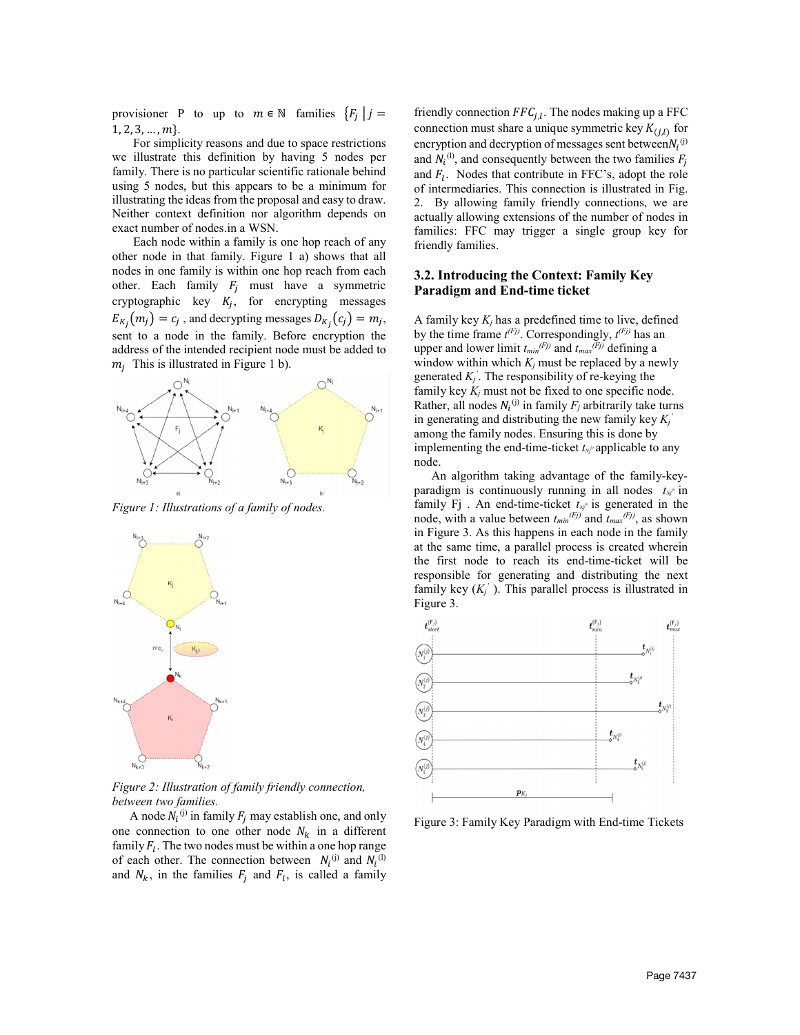provisioner P to up to  $m \in \mathbb{N}$  families  $\{F_i \mid j =$  $1, 2, 3, \ldots, m$ 

For simplicity reasons and due to space restrictions we illustrate this definition by having 5 nodes per family. There is no particular scientific rationale behind using 5 nodes, but this appears to be a minimum for illustrating the ideas from the proposal and easy to draw. Neither context definition nor algorithm depends on exact number of nodes.in a WSN.

Each node within a family is one hop reach of any other node in that family. Figure 1 a) shows that all nodes in one family is within one hop reach from each other. Each family  $F_j$  must have a symmetric cryptographic key  $K_j$ , for encrypting messages  $E_{K_i}(m_i) = c_i$ , and decrypting messages  $D_{K_i}(c_i) = m_i$ , sent to a node in the family. Before encryption the address of the intended recipient node must be added to  $m_i$  This is illustrated in Figure 1 b).



Figure 1: Illustrations of a family of nodes.



Figure 2: Illustration of family friendly connection, between two families.

A node  $N_i^{(j)}$  in family  $F_j$  may establish one, and only one connection to one other node  $N_k$  in a different family  $F_l$ . The two nodes must be within a one hop range of each other. The connection between  $N_i^{(i)}$  and  $N_i^{(1)}$ and  $N_k$ , in the families  $F_i$  and  $F_i$ , is called a family

friendly connection  $FFC_{i,l}$ . The nodes making up a FFC connection must share a unique symmetric key  $K_{(i,l)}$  for encryption and decryption of messages sent between $N_i^{(j)}$ and  $N_i^{(1)}$ , and consequently between the two families  $F_j$ and  $F_1$ . Nodes that contribute in FFC's, adopt the role of intermediaries. This connection is illustrated in Fig. 2. By allowing family friendly connections, we are actually allowing extensions of the number of nodes in families: FFC may trigger a single group key for friendly families.

# 3.2. Introducing the Context: Family Key Paradigm and End-time ticket

A family key  $K_i$  has a predefined time to live, defined by the time frame  $t^{(Fj)}$ . Correspondingly,  $t^{(Fj)}$  has an upper and lower limit  $t_{min}^{(Fj)}$  and  $t_{max}^{(Fj)}$  defining a window within which  $K_i$  must be replaced by a newly generated  $K_j$ . The responsibility of re-keying the family key  $K_j$  must not be fixed to one specific node. Rather, all nodes  $N_i^{(j)}$  in family  $F_j$  arbitrarily take turns in generating and distributing the new family key  $K_i$ among the family nodes. Ensuring this is done by implementing the end-time-ticket  $t_{N}$  applicable to any node.

An algorithm taking advantage of the family-keyparadigm is continuously running in all nodes  $t_{N_p}$  in family Fj. An end-time-ticket  $t_{Nj}$ <sup>o</sup> is generated in the node, with a value between  $t_{min}^{(Fj)}$  and  $t_{max}^{(Fj)}$ , as shown in Figure 3. As this happens in each node in the family at the same time, a parallel process is created wherein the first node to reach its end-time-ticket will be responsible for generating and distributing the next family key  $(K_j)$ . This parallel process is illustrated in Figure 3.



Figure 3: Family Key Paradigm with End-time Tickets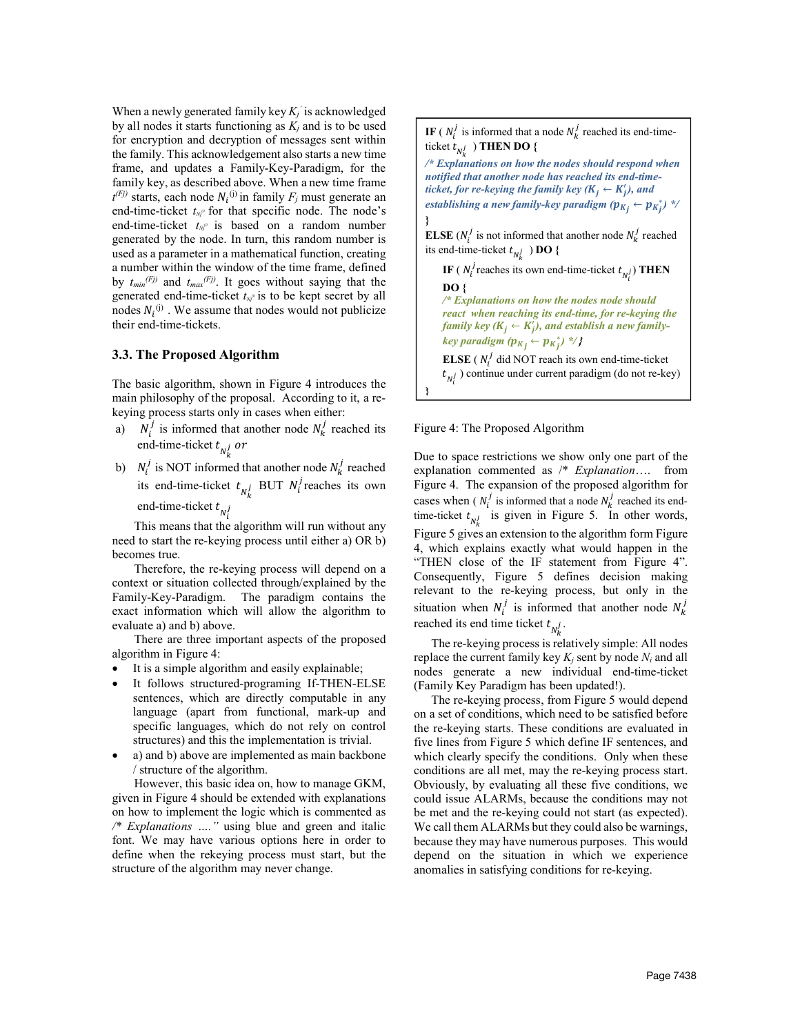When a newly generated family key  $K_i$  is acknowledged by all nodes it starts functioning as  $K_i$  and is to be used for encryption and decryption of messages sent within the family. This acknowledgement also starts a new time frame, and updates a Family-Key-Paradigm, for the family key, as described above. When a new time frame  $t^{(Fj)}$  starts, each node  $N_i^{(j)}$  in family  $F_j$  must generate an end-time-ticket  $t_{N}$  for that specific node. The node's end-time-ticket  $t_{Nj}$  is based on a random number generated by the node. In turn, this random number is used as a parameter in a mathematical function, creating a number within the window of the time frame, defined by  $t_{min}(Fj)$  and  $t_{max}(Fj)$ . It goes without saying that the generated end-time-ticket  $t_{Nj}$ <sup>*i*</sup> is to be kept secret by all nodes  $N_i^{(j)}$  . We assume that nodes would not publicize their end-time-tickets.

#### 3.3. The Proposed Algorithm

The basic algorithm, shown in Figure 4 introduces the main philosophy of the proposal. According to it, a rekeying process starts only in cases when either:

- a)  $N_i^j$  is informed that another node  $N_k^j$  reached its end-time-ticket  $t_{N_k^j}$  or
- b)  $N_i^j$  is NOT informed that another node  $N_k^j$  reached its end-time-ticket  $t_{N_k^j}$  BUT  $N_i^j$  reaches its own end-time-ticket  $t_{N_i^j}$

This means that the algorithm will run without any need to start the re-keying process until either a) OR b) becomes true.

Therefore, the re-keying process will depend on a context or situation collected through/explained by the Family-Key-Paradigm. The paradigm contains the exact information which will allow the algorithm to evaluate a) and b) above.

There are three important aspects of the proposed algorithm in Figure 4:

- It is a simple algorithm and easily explainable;
- It follows structured-programing If-THEN-ELSE sentences, which are directly computable in any language (apart from functional, mark-up and specific languages, which do not rely on control structures) and this the implementation is trivial.
- a) and b) above are implemented as main backbone / structure of the algorithm.

However, this basic idea on, how to manage GKM, given in Figure 4 should be extended with explanations on how to implement the logic which is commented as /\* Explanations …." using blue and green and italic font. We may have various options here in order to define when the rekeying process must start, but the structure of the algorithm may never change.

**IF** ( $N_i^j$  is informed that a node  $N_k^j$  reached its end-timeticket  $t_{N_k^j}$  ) THEN DO {

/\* Explanations on how the nodes should respond when notified that another node has reached its end-timeticket, for re-keying the family key  $(K_j \leftarrow K'_j)$ , and establishing a new family-key paradigm ( $p_{K_{\v I}}^{} \leftarrow p_{K_{\v I}^*}$ ) \*/

**ELSE** ( $N_i^j$  is not informed that another node  $N_k^j$  reached its end-time-ticket  $t_{N_k^j}$ ) DO {

IF ( $N_i^j$  reaches its own end-time-ticket  $t_{N_i^j}$ ) THEN DO {

/\* Explanations on how the nodes node should react when reaching its end-time, for re-keying the family key ( $K_j \leftarrow K_j^j$ ), and establish a new familykey paradigm ( $p_{K_j} \leftarrow p_{K_j^*}$ ) \*/}

**ELSE** ( $N_i^j$  did NOT reach its own end-time-ticket  $t_{N_i^j}$ ) continue under current paradigm (do not re-key)

Figure 4: The Proposed Algorithm

}

}

Due to space restrictions we show only one part of the explanation commented as /\* Explanation…. from Figure 4. The expansion of the proposed algorithm for cases when ( $N_i^j$  is informed that a node  $N_k^j$  reached its endtime-ticket  $t_{N_k^j}$  is given in Figure 5. In other words, Figure 5 gives an extension to the algorithm form Figure 4, which explains exactly what would happen in the "THEN close of the IF statement from Figure 4". Consequently, Figure 5 defines decision making relevant to the re-keying process, but only in the situation when  $N_i^j$  is informed that another node  $N_k^j$ reached its end time ticket  $t_{N_k^j}$ .

The re-keying process is relatively simple: All nodes replace the current family key  $K_i$  sent by node  $N_i$  and all nodes generate a new individual end-time-ticket (Family Key Paradigm has been updated!).

The re-keying process, from Figure 5 would depend on a set of conditions, which need to be satisfied before the re-keying starts. These conditions are evaluated in five lines from Figure 5 which define IF sentences, and which clearly specify the conditions. Only when these conditions are all met, may the re-keying process start. Obviously, by evaluating all these five conditions, we could issue ALARMs, because the conditions may not be met and the re-keying could not start (as expected). We call them ALARMs but they could also be warnings, because they may have numerous purposes. This would depend on the situation in which we experience anomalies in satisfying conditions for re-keying.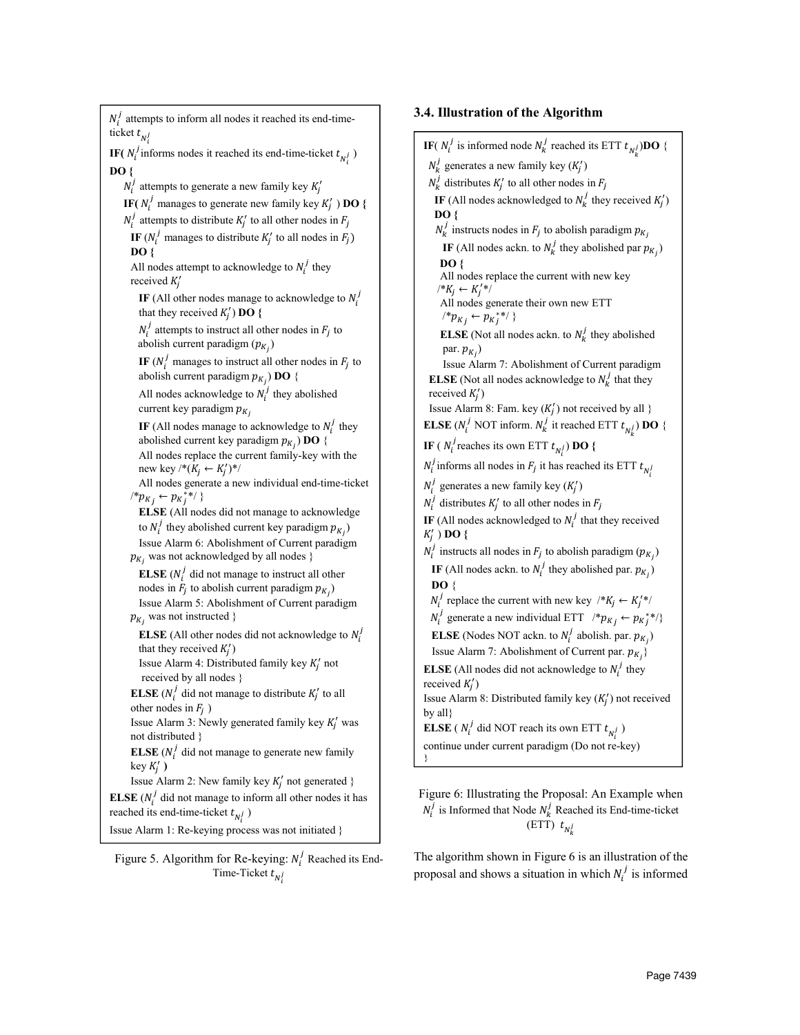$N_i^j$  attempts to inform all nodes it reached its end-timeticket  $t_{N_i^j}$ **IF**( $N_i^j$  informs nodes it reached its end-time-ticket  $t_{N_i^j}$ ) DO {  $N_i^j$  attempts to generate a new family key  $K_j'$ **IF(**  $N_i^j$  manages to generate new family key  $K'_j$  ) **DO** {  $N_i^j$  attempts to distribute  $K_j'$  to all other nodes in  $F_j$ IF ( $N_i^j$  manages to distribute  $K_j'$  to all nodes in  $F_j$ ) DO { All nodes attempt to acknowledge to  $N_i^j$  they received  $K_j'$ IF (All other nodes manage to acknowledge to  $N_i^j$ that they received  $K'_j$ ) **DO** {  $N_i^j$  attempts to instruct all other nodes in  $F_j$  to abolish current paradigm  $(p_{K_i})$ IF  $(N_i^j$  manages to instruct all other nodes in  $F_j$  to abolish current paradigm  $p_{K_j}$ ) **DO** { All nodes acknowledge to  $N_i^j$  they abolished current key paradigm  $p_{K_i}$ IF (All nodes manage to acknowledge to  $N_i^j$  they abolished current key paradigm  $p_{K_i}$ ) **DO** { All nodes replace the current family-key with the new key /\* $(K_j \leftarrow K'_j)$ \*/ All nodes generate a new individual end-time-ticket  $\{p_{K_j} \leftarrow p_{K_j^*} \}$  ELSE (All nodes did not manage to acknowledge to  $N_i^j$  they abolished current key paradigm  $p_{K_j}$ ) Issue Alarm 6: Abolishment of Current paradigm  $p_{K_i}$  was not acknowledged by all nodes } **ELSE** ( $N_i^j$  did not manage to instruct all other nodes in  $F_j$  to abolish current paradigm  $p_{K_j}$ ) Issue Alarm 5: Abolishment of Current paradigm  $p_{K_i}$  was not instructed } **ELSE** (All other nodes did not acknowledge to  $N_i^j$ that they received  $K'_j$ ) Issue Alarm 4: Distributed family key  $K'_j$  not received by all nodes } **ELSE** ( $N_i^j$  did not manage to distribute  $K'_j$  to all other nodes in  $F_i$ ) Issue Alarm 3: Newly generated family key  $K'_j$  was not distributed } **ELSE** ( $N_i^j$  did not manage to generate new family  $key K'_j$ ) Issue Alarm 2: New family key  $K'_j$  not generated } **ELSE** ( $N_i^j$  did not manage to inform all other nodes it has reached its end-time-ticket  $t_{N_i^j}$ ) Issue Alarm 1: Re-keying process was not initiated }

Figure 5. Algorithm for Re-keying:  $N_i^j$  Reached its End-Time-Ticket  $t_{N_i^j}$ 

# 3.4. Illustration of the Algorithm

**IF**( $N_i^j$  is informed node  $N_k^j$  reached its ETT  $t_{N_k^j}$ )**DO** {  $N_k^j$  generates a new family key  $(K_j')$  $N_k^j$  distributes  $K_j'$  to all other nodes in  $F_j$ **IF** (All nodes acknowledged to  $N_k^j$  they received  $K_j'$ ) DO {  $N_k^j$  instructs nodes in  $F_j$  to abolish paradigm  $p_{K_j}$ IF (All nodes ackn. to  $N_k^j$  they abolished par  $p_{K_j}$ ) DO { All nodes replace the current with new key  $A^*K_j \leftarrow K_j'^*A_j'$  All nodes generate their own new ETT  $\{e^* p_{K_j} \leftarrow p_{K_j^*} \}$ **ELSE** (Not all nodes ackn. to  $N_k^j$  they abolished par.  $p_{K_i}$ ) Issue Alarm 7: Abolishment of Current paradigm **ELSE** (Not all nodes acknowledge to  $N_k^j$  that they received  $K'_j$ ) Issue Alarm 8: Fam. key  $(K'_j)$  not received by all } **ELSE** ( $N_i^j$  NOT inform.  $N_k^j$  it reached ETT  $t_{N_k^j}$ ) **DO** { **IF** ( $N_i^j$  reaches its own ETT  $t_{N_i^j}$ ) **DO** {  $N_i^j$  informs all nodes in  $F_j$  it has reached its ETT  $t_{N_i^j}$  $N_i^j$  generates a new family key  $(K_j')$  $N_i^j$  distributes  $K_j'$  to all other nodes in  $F_j$ **IF** (All nodes acknowledged to  $N_i^j$  that they received  $K'_j$ ) DO {  $N_i^j$  instructs all nodes in  $F_j$  to abolish paradigm  $(p_{K_j})$ IF (All nodes ackn. to  $N_i^j$  they abolished par.  $p_{K_j}$ )  $\mathbf{DO} \{$  $N_i^j$  replace the current with new key  $/ * K_j \leftarrow K_j' * N_j$  $N_i^j$  generate a new individual ETT  $\forall^* p_{K_j} \leftarrow p_{K_j^*} \$ **ELSE** (Nodes NOT ackn. to  $N_i^j$  abolish. par.  $p_{K_j}$ ) Issue Alarm 7: Abolishment of Current par.  $p_{K_i}$ **ELSE** (All nodes did not acknowledge to  $N_i^j$  they received  $K'_j$ ) Issue Alarm 8: Distributed family key  $(K'_j)$  not received by all} **ELSE** (  $N_i^j$  did NOT reach its own ETT  $t_{N_i^j}$  ) continue under current paradigm (Do not re-key) }

Figure 6: Illustrating the Proposal: An Example when  $N_i^j$  is Informed that Node  $N_k^j$  Reached its End-time-ticket (ETT)  $t_{N_k^j}$ 

The algorithm shown in Figure 6 is an illustration of the proposal and shows a situation in which  $N_i^j$  is informed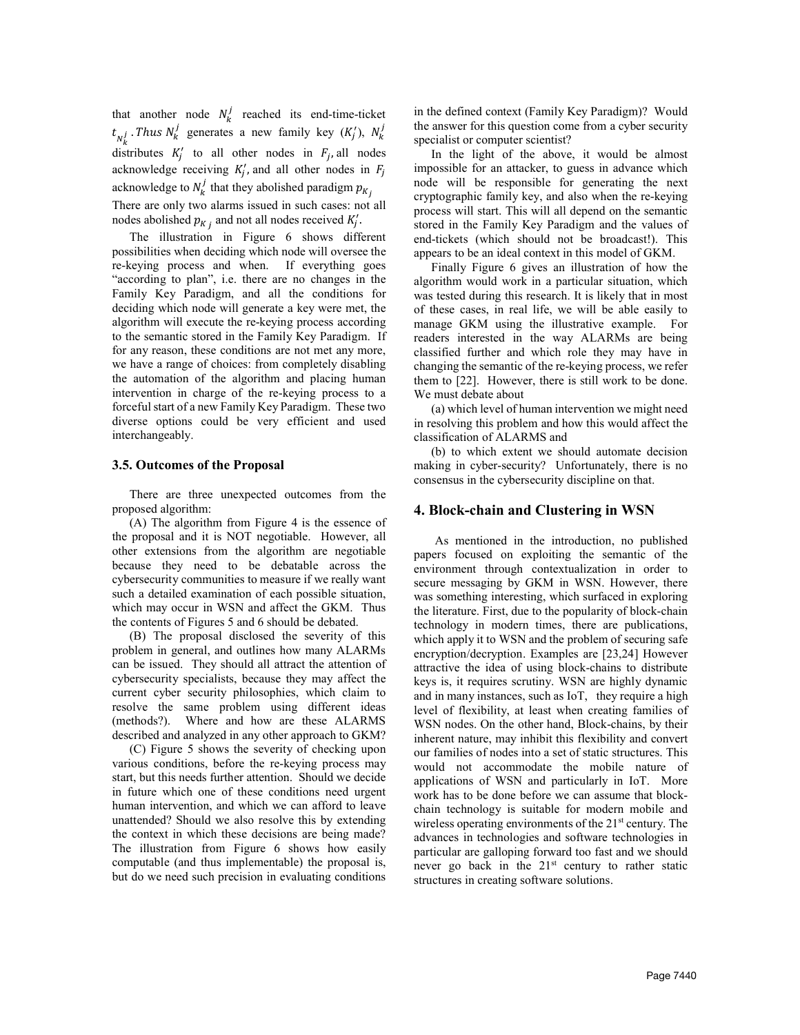that another node  $N_k^j$  reached its end-time-ticket  $t_{N_k^j}$ . Thus  $N_k^j$  generates a new family key  $(K_j^r)$ ,  $N_k^j$ distributes  $K'_j$  to all other nodes in  $F_j$ , all nodes acknowledge receiving  $K'_j$ , and all other nodes in  $F_j$ acknowledge to  $N_k^j$  that they abolished paradigm  $p_{K_j}$ There are only two alarms issued in such cases: not all nodes abolished  $p_{K_j}$  and not all nodes received  $K'_j$ .

The illustration in Figure 6 shows different possibilities when deciding which node will oversee the re-keying process and when. If everything goes "according to plan", i.e. there are no changes in the Family Key Paradigm, and all the conditions for deciding which node will generate a key were met, the algorithm will execute the re-keying process according to the semantic stored in the Family Key Paradigm. If for any reason, these conditions are not met any more, we have a range of choices: from completely disabling the automation of the algorithm and placing human intervention in charge of the re-keying process to a forceful start of a new Family Key Paradigm. These two diverse options could be very efficient and used interchangeably.

#### 3.5. Outcomes of the Proposal

There are three unexpected outcomes from the proposed algorithm:

(A) The algorithm from Figure 4 is the essence of the proposal and it is NOT negotiable. However, all other extensions from the algorithm are negotiable because they need to be debatable across the cybersecurity communities to measure if we really want such a detailed examination of each possible situation, which may occur in WSN and affect the GKM. Thus the contents of Figures 5 and 6 should be debated.

(B) The proposal disclosed the severity of this problem in general, and outlines how many ALARMs can be issued. They should all attract the attention of cybersecurity specialists, because they may affect the current cyber security philosophies, which claim to resolve the same problem using different ideas (methods?). Where and how are these ALARMS described and analyzed in any other approach to GKM?

(C) Figure 5 shows the severity of checking upon various conditions, before the re-keying process may start, but this needs further attention. Should we decide in future which one of these conditions need urgent human intervention, and which we can afford to leave unattended? Should we also resolve this by extending the context in which these decisions are being made? The illustration from Figure 6 shows how easily computable (and thus implementable) the proposal is, but do we need such precision in evaluating conditions in the defined context (Family Key Paradigm)? Would the answer for this question come from a cyber security specialist or computer scientist?

In the light of the above, it would be almost impossible for an attacker, to guess in advance which node will be responsible for generating the next cryptographic family key, and also when the re-keying process will start. This will all depend on the semantic stored in the Family Key Paradigm and the values of end-tickets (which should not be broadcast!). This appears to be an ideal context in this model of GKM.

Finally Figure 6 gives an illustration of how the algorithm would work in a particular situation, which was tested during this research. It is likely that in most of these cases, in real life, we will be able easily to manage GKM using the illustrative example. For readers interested in the way ALARMs are being classified further and which role they may have in changing the semantic of the re-keying process, we refer them to [22]. However, there is still work to be done. We must debate about

(a) which level of human intervention we might need in resolving this problem and how this would affect the classification of ALARMS and

(b) to which extent we should automate decision making in cyber-security? Unfortunately, there is no consensus in the cybersecurity discipline on that.

## 4. Block-chain and Clustering in WSN

As mentioned in the introduction, no published papers focused on exploiting the semantic of the environment through contextualization in order to secure messaging by GKM in WSN. However, there was something interesting, which surfaced in exploring the literature. First, due to the popularity of block-chain technology in modern times, there are publications, which apply it to WSN and the problem of securing safe encryption/decryption. Examples are [23,24] However attractive the idea of using block-chains to distribute keys is, it requires scrutiny. WSN are highly dynamic and in many instances, such as IoT, they require a high level of flexibility, at least when creating families of WSN nodes. On the other hand, Block-chains, by their inherent nature, may inhibit this flexibility and convert our families of nodes into a set of static structures. This would not accommodate the mobile nature of applications of WSN and particularly in IoT. More work has to be done before we can assume that blockchain technology is suitable for modern mobile and wireless operating environments of the 21<sup>st</sup> century. The advances in technologies and software technologies in particular are galloping forward too fast and we should never go back in the  $21<sup>st</sup>$  century to rather static structures in creating software solutions.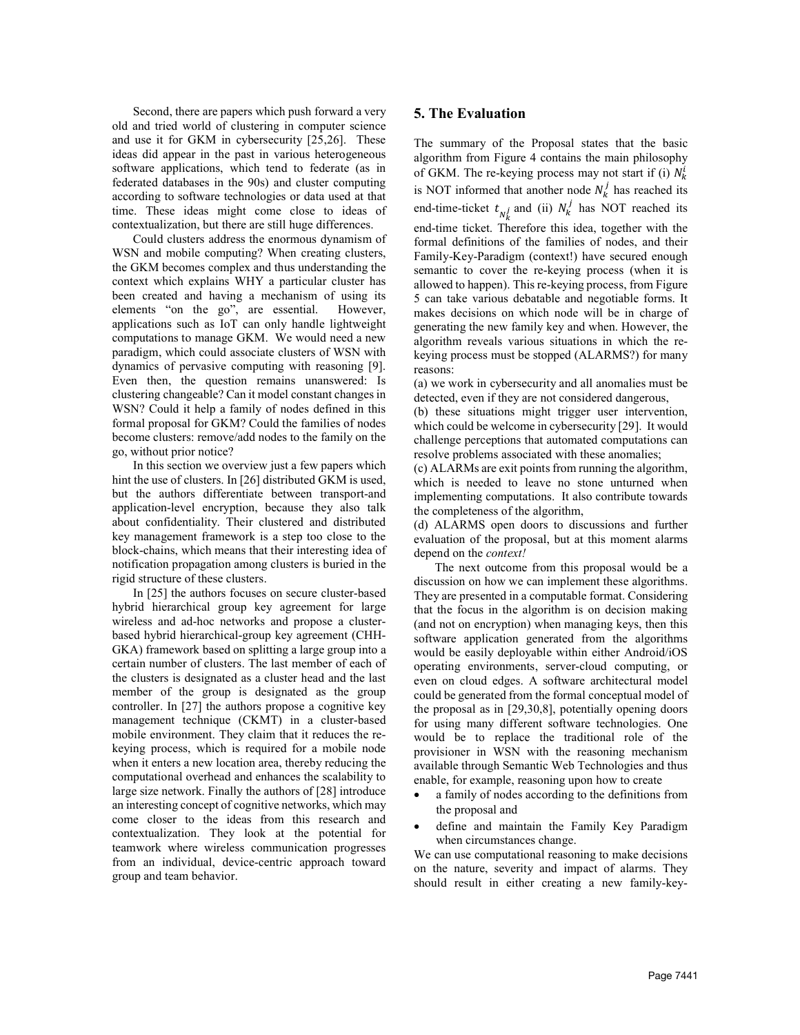Second, there are papers which push forward a very old and tried world of clustering in computer science and use it for GKM in cybersecurity [25,26]. These ideas did appear in the past in various heterogeneous software applications, which tend to federate (as in federated databases in the 90s) and cluster computing according to software technologies or data used at that time. These ideas might come close to ideas of contextualization, but there are still huge differences.

Could clusters address the enormous dynamism of WSN and mobile computing? When creating clusters, the GKM becomes complex and thus understanding the context which explains WHY a particular cluster has been created and having a mechanism of using its elements "on the go", are essential. However, applications such as IoT can only handle lightweight computations to manage GKM. We would need a new paradigm, which could associate clusters of WSN with dynamics of pervasive computing with reasoning [9]. Even then, the question remains unanswered: Is clustering changeable? Can it model constant changes in WSN? Could it help a family of nodes defined in this formal proposal for GKM? Could the families of nodes become clusters: remove/add nodes to the family on the go, without prior notice?

In this section we overview just a few papers which hint the use of clusters. In [26] distributed GKM is used, but the authors differentiate between transport-and application-level encryption, because they also talk about confidentiality. Their clustered and distributed key management framework is a step too close to the block-chains, which means that their interesting idea of notification propagation among clusters is buried in the rigid structure of these clusters.

In [25] the authors focuses on secure cluster-based hybrid hierarchical group key agreement for large wireless and ad-hoc networks and propose a clusterbased hybrid hierarchical-group key agreement (CHH-GKA) framework based on splitting a large group into a certain number of clusters. The last member of each of the clusters is designated as a cluster head and the last member of the group is designated as the group controller. In [27] the authors propose a cognitive key management technique (CKMT) in a cluster-based mobile environment. They claim that it reduces the rekeying process, which is required for a mobile node when it enters a new location area, thereby reducing the computational overhead and enhances the scalability to large size network. Finally the authors of [28] introduce an interesting concept of cognitive networks, which may come closer to the ideas from this research and contextualization. They look at the potential for teamwork where wireless communication progresses from an individual, device-centric approach toward group and team behavior.

## 5. The Evaluation

The summary of the Proposal states that the basic algorithm from Figure 4 contains the main philosophy of GKM. The re-keying process may not start if (i)  $N_k^i$ is NOT informed that another node  $N_k^j$  has reached its end-time-ticket  $t_{N_k^j}$  and (ii)  $N_k^j$  has NOT reached its end-time ticket. Therefore this idea, together with the formal definitions of the families of nodes, and their Family-Key-Paradigm (context!) have secured enough semantic to cover the re-keying process (when it is allowed to happen). This re-keying process, from Figure 5 can take various debatable and negotiable forms. It makes decisions on which node will be in charge of generating the new family key and when. However, the algorithm reveals various situations in which the rekeying process must be stopped (ALARMS?) for many reasons:

(a) we work in cybersecurity and all anomalies must be detected, even if they are not considered dangerous,

(b) these situations might trigger user intervention, which could be welcome in cybersecurity [29]. It would challenge perceptions that automated computations can resolve problems associated with these anomalies;

(c) ALARMs are exit points from running the algorithm, which is needed to leave no stone unturned when implementing computations. It also contribute towards the completeness of the algorithm,

(d) ALARMS open doors to discussions and further evaluation of the proposal, but at this moment alarms depend on the context!

The next outcome from this proposal would be a discussion on how we can implement these algorithms. They are presented in a computable format. Considering that the focus in the algorithm is on decision making (and not on encryption) when managing keys, then this software application generated from the algorithms would be easily deployable within either Android/iOS operating environments, server-cloud computing, or even on cloud edges. A software architectural model could be generated from the formal conceptual model of the proposal as in [29,30,8], potentially opening doors for using many different software technologies. One would be to replace the traditional role of the provisioner in WSN with the reasoning mechanism available through Semantic Web Technologies and thus enable, for example, reasoning upon how to create

- x a family of nodes according to the definitions from the proposal and
- define and maintain the Family Key Paradigm when circumstances change.

We can use computational reasoning to make decisions on the nature, severity and impact of alarms. They should result in either creating a new family-key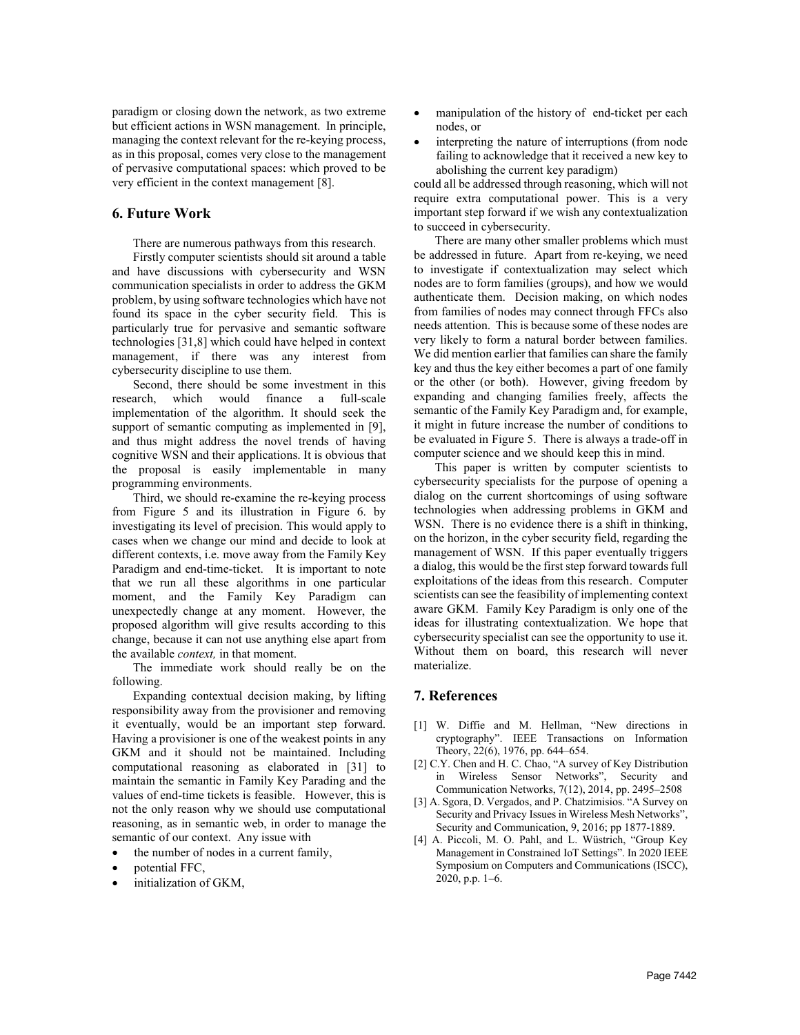paradigm or closing down the network, as two extreme but efficient actions in WSN management. In principle, managing the context relevant for the re-keying process, as in this proposal, comes very close to the management of pervasive computational spaces: which proved to be very efficient in the context management [8].

# 6. Future Work

There are numerous pathways from this research.

Firstly computer scientists should sit around a table and have discussions with cybersecurity and WSN communication specialists in order to address the GKM problem, by using software technologies which have not found its space in the cyber security field. This is particularly true for pervasive and semantic software technologies [31,8] which could have helped in context management, if there was any interest from cybersecurity discipline to use them.

Second, there should be some investment in this research, which would finance a full-scale implementation of the algorithm. It should seek the support of semantic computing as implemented in [9], and thus might address the novel trends of having cognitive WSN and their applications. It is obvious that the proposal is easily implementable in many programming environments.

Third, we should re-examine the re-keying process from Figure 5 and its illustration in Figure 6. by investigating its level of precision. This would apply to cases when we change our mind and decide to look at different contexts, i.e. move away from the Family Key Paradigm and end-time-ticket. It is important to note that we run all these algorithms in one particular moment, and the Family Key Paradigm can unexpectedly change at any moment. However, the proposed algorithm will give results according to this change, because it can not use anything else apart from the available context, in that moment.

The immediate work should really be on the following.

Expanding contextual decision making, by lifting responsibility away from the provisioner and removing it eventually, would be an important step forward. Having a provisioner is one of the weakest points in any GKM and it should not be maintained. Including computational reasoning as elaborated in [31] to maintain the semantic in Family Key Parading and the values of end-time tickets is feasible. However, this is not the only reason why we should use computational reasoning, as in semantic web, in order to manage the semantic of our context. Any issue with

- the number of nodes in a current family,
- potential FFC,
- initialization of GKM,
- manipulation of the history of end-ticket per each nodes, or
- interpreting the nature of interruptions (from node failing to acknowledge that it received a new key to abolishing the current key paradigm)

could all be addressed through reasoning, which will not require extra computational power. This is a very important step forward if we wish any contextualization to succeed in cybersecurity.

There are many other smaller problems which must be addressed in future. Apart from re-keying, we need to investigate if contextualization may select which nodes are to form families (groups), and how we would authenticate them. Decision making, on which nodes from families of nodes may connect through FFCs also needs attention. This is because some of these nodes are very likely to form a natural border between families. We did mention earlier that families can share the family key and thus the key either becomes a part of one family or the other (or both). However, giving freedom by expanding and changing families freely, affects the semantic of the Family Key Paradigm and, for example, it might in future increase the number of conditions to be evaluated in Figure 5. There is always a trade-off in computer science and we should keep this in mind.

This paper is written by computer scientists to cybersecurity specialists for the purpose of opening a dialog on the current shortcomings of using software technologies when addressing problems in GKM and WSN. There is no evidence there is a shift in thinking, on the horizon, in the cyber security field, regarding the management of WSN. If this paper eventually triggers a dialog, this would be the first step forward towards full exploitations of the ideas from this research. Computer scientists can see the feasibility of implementing context aware GKM. Family Key Paradigm is only one of the ideas for illustrating contextualization. We hope that cybersecurity specialist can see the opportunity to use it. Without them on board, this research will never materialize.

## 7. References

- [1] W. Diffie and M. Hellman, "New directions in cryptography". IEEE Transactions on Information Theory, 22(6), 1976, pp. 644–654.
- [2] C.Y. Chen and H. C. Chao, "A survey of Key Distribution in Wireless Sensor Networks", Security and Communication Networks, 7(12), 2014, pp. 2495–2508
- [3] A. Sgora, D. Vergados, and P. Chatzimisios. "A Survey on Security and Privacy Issues in Wireless Mesh Networks", Security and Communication, 9, 2016; pp 1877-1889.
- [4] A. Piccoli, M. O. Pahl, and L. Wüstrich, "Group Key Management in Constrained IoT Settings". In 2020 IEEE Symposium on Computers and Communications (ISCC), 2020, p.p. 1–6.